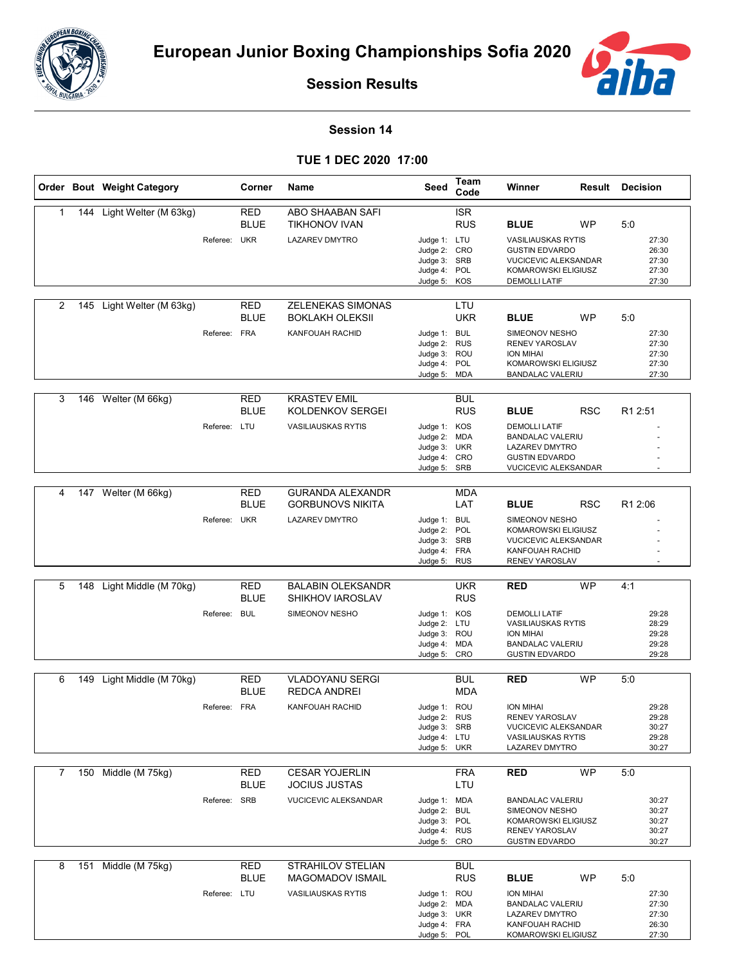



**Session Results**

## **Session 14**

**TUE 1 DEC 2020 17:00**

|   |     | Order Bout Weight Category |              | Corner                    | <b>Name</b>                                   | Seed                         | Team<br>Code             | Winner                                               | Result     | <b>Decision</b>     |                |
|---|-----|----------------------------|--------------|---------------------------|-----------------------------------------------|------------------------------|--------------------------|------------------------------------------------------|------------|---------------------|----------------|
| 1 |     | 144 Light Welter (M 63kg)  |              | <b>RED</b>                | ABO SHAABAN SAFI                              |                              | <b>ISR</b>               |                                                      |            |                     |                |
|   |     |                            |              | <b>BLUE</b>               | <b>TIKHONOV IVAN</b>                          |                              | <b>RUS</b>               | <b>BLUE</b>                                          | <b>WP</b>  | 5:0                 |                |
|   |     |                            | Referee: UKR |                           | <b>LAZAREV DMYTRO</b>                         | Judge 1: LTU                 |                          | <b>VASILIAUSKAS RYTIS</b>                            |            |                     | 27:30          |
|   |     |                            |              |                           |                                               | Judge 2: CRO<br>Judge 3: SRB |                          | <b>GUSTIN EDVARDO</b><br><b>VUCICEVIC ALEKSANDAR</b> |            |                     | 26:30<br>27:30 |
|   |     |                            |              |                           |                                               | Judge 4: POL                 |                          | KOMAROWSKI ELIGIUSZ                                  |            |                     | 27:30          |
|   |     |                            |              |                           |                                               | Judge 5: KOS                 |                          | <b>DEMOLLI LATIF</b>                                 |            |                     | 27:30          |
| 2 |     | 145 Light Welter (M 63kg)  |              | <b>RED</b>                | ZELENEKAS SIMONAS                             |                              | LTU                      |                                                      |            |                     |                |
|   |     |                            |              | <b>BLUE</b>               | <b>BOKLAKH OLEKSII</b>                        |                              | <b>UKR</b>               | <b>BLUE</b>                                          | <b>WP</b>  | 5:0                 |                |
|   |     |                            | Referee:     | <b>FRA</b>                | <b>KANFOUAH RACHID</b>                        | Judge 1: BUL                 |                          | SIMEONOV NESHO                                       |            |                     | 27:30          |
|   |     |                            |              |                           |                                               | Judge 2: RUS<br>Judge 3: ROU |                          | <b>RENEV YAROSLAV</b><br><b>ION MIHAI</b>            |            |                     | 27:30<br>27:30 |
|   |     |                            |              |                           |                                               | Judge 4: POL                 |                          | KOMAROWSKI ELIGIUSZ                                  |            |                     | 27:30          |
|   |     |                            |              |                           |                                               | Judge 5: MDA                 |                          | <b>BANDALAC VALERIU</b>                              |            |                     | 27:30          |
| 3 | 146 | Welter (M 66kg)            |              | <b>RED</b>                | <b>KRASTEV EMIL</b>                           |                              | <b>BUL</b>               |                                                      |            |                     |                |
|   |     |                            |              | <b>BLUE</b>               | KOLDENKOV SERGEI                              |                              | <b>RUS</b>               | <b>BLUE</b>                                          | <b>RSC</b> | R <sub>1</sub> 2:51 |                |
|   |     |                            | Referee: LTU |                           | <b>VASILIAUSKAS RYTIS</b>                     | Judge 1: KOS<br>Judge 2: MDA |                          | <b>DEMOLLI LATIF</b><br><b>BANDALAC VALERIU</b>      |            |                     |                |
|   |     |                            |              |                           |                                               | Judge 3: UKR                 |                          | <b>LAZAREV DMYTRO</b>                                |            |                     |                |
|   |     |                            |              |                           |                                               | Judge 4: CRO<br>Judge 5: SRB |                          | <b>GUSTIN EDVARDO</b><br>VUCICEVIC ALEKSANDAR        |            |                     |                |
|   |     |                            |              |                           |                                               |                              |                          |                                                      |            |                     |                |
| 4 |     | 147 Welter (M 66kg)        |              | <b>RED</b>                | <b>GURANDA ALEXANDR</b>                       |                              | <b>MDA</b>               |                                                      |            |                     |                |
|   |     |                            |              | <b>BLUE</b>               | <b>GORBUNOVS NIKITA</b>                       |                              | LAT                      | <b>BLUE</b>                                          | <b>RSC</b> | R1 2:06             |                |
|   |     |                            | Referee: UKR |                           | <b>LAZAREV DMYTRO</b>                         | Judge 1: BUL<br>Judge 2: POL |                          | SIMEONOV NESHO<br>KOMAROWSKI ELIGIUSZ                |            |                     |                |
|   |     |                            |              |                           |                                               | Judge 3: SRB                 |                          | <b>VUCICEVIC ALEKSANDAR</b>                          |            |                     |                |
|   |     |                            |              |                           |                                               | Judge 4: FRA<br>Judge 5: RUS |                          | KANFOUAH RACHID<br>RENEV YAROSLAV                    |            |                     |                |
|   |     |                            |              |                           |                                               |                              |                          |                                                      |            |                     |                |
| 5 | 148 | Light Middle (M 70kg)      |              | <b>RED</b><br><b>BLUE</b> | <b>BALABIN OLEKSANDR</b><br>SHIKHOV IAROSLAV  |                              | <b>UKR</b><br><b>RUS</b> | <b>RED</b>                                           | <b>WP</b>  | 4:1                 |                |
|   |     |                            | Referee:     | <b>BUL</b>                | SIMEONOV NESHO                                | Judge 1: KOS                 |                          | <b>DEMOLLI LATIF</b>                                 |            |                     | 29:28          |
|   |     |                            |              |                           |                                               | Judge 2: LTU<br>Judge 3: ROU |                          | <b>VASILIAUSKAS RYTIS</b><br><b>ION MIHAI</b>        |            |                     | 28:29<br>29:28 |
|   |     |                            |              |                           |                                               | Judge 4: MDA                 |                          | <b>BANDALAC VALERIU</b>                              |            |                     | 29:28          |
|   |     |                            |              |                           |                                               | Judge 5: CRO                 |                          | <b>GUSTIN EDVARDO</b>                                |            |                     | 29:28          |
| 6 |     | 149 Light Middle (M 70kg)  |              | RED                       | <b>VLADOYANU SERGI</b>                        |                              | <b>BUL</b>               | RED                                                  | <b>WP</b>  | 5:0                 |                |
|   |     |                            |              | <b>BLUE</b>               | <b>REDCA ANDREI</b>                           |                              | <b>MDA</b>               |                                                      |            |                     |                |
|   |     |                            | Referee: FRA |                           | KANFOUAH RACHID                               | Judge 1: ROU<br>Judge 2: RUS |                          | <b>ION MIHAI</b><br>RENEV YAROSLAV                   |            |                     | 29:28<br>29:28 |
|   |     |                            |              |                           |                                               | Judge 3: SRB                 |                          | <b>VUCICEVIC ALEKSANDAR</b>                          |            |                     | 30:27          |
|   |     |                            |              |                           |                                               | Judge 4: LTU<br>Judge 5: UKR |                          | <b>VASILIAUSKAS RYTIS</b><br>LAZAREV DMYTRO          |            |                     | 29:28<br>30:27 |
|   |     |                            |              |                           |                                               |                              |                          |                                                      |            |                     |                |
| 7 |     | 150 Middle (M 75kg)        |              | <b>RED</b><br><b>BLUE</b> | <b>CESAR YOJERLIN</b><br><b>JOCIUS JUSTAS</b> |                              | <b>FRA</b><br>LTU        | <b>RED</b>                                           | <b>WP</b>  | 5:0                 |                |
|   |     |                            | Referee: SRB |                           | <b>VUCICEVIC ALEKSANDAR</b>                   | Judge 1: MDA                 |                          | <b>BANDALAC VALERIU</b>                              |            |                     | 30:27          |
|   |     |                            |              |                           |                                               | Judge 2: BUL                 |                          | SIMEONOV NESHO                                       |            |                     | 30:27          |
|   |     |                            |              |                           |                                               | Judge 3: POL<br>Judge 4: RUS |                          | KOMAROWSKI ELIGIUSZ<br>RENEV YAROSLAV                |            |                     | 30:27<br>30:27 |
|   |     |                            |              |                           |                                               | Judge 5: CRO                 |                          | <b>GUSTIN EDVARDO</b>                                |            |                     | 30:27          |
| 8 |     | 151 Middle (M 75kg)        |              | <b>RED</b>                | STRAHILOV STELIAN                             |                              | <b>BUL</b>               |                                                      |            |                     |                |
|   |     |                            |              | <b>BLUE</b>               | <b>MAGOMADOV ISMAIL</b>                       |                              | <b>RUS</b>               | <b>BLUE</b>                                          | WP         | 5:0                 |                |
|   |     |                            | Referee: LTU |                           | <b>VASILIAUSKAS RYTIS</b>                     | Judge 1: ROU                 |                          | ION MIHAI                                            |            |                     | 27:30          |
|   |     |                            |              |                           |                                               | Judge 2: MDA<br>Judge 3: UKR |                          | <b>BANDALAC VALERIU</b><br>LAZAREV DMYTRO            |            |                     | 27:30<br>27:30 |
|   |     |                            |              |                           |                                               | Judge 4: FRA                 |                          | KANFOUAH RACHID                                      |            |                     | 26:30          |
|   |     |                            |              |                           |                                               | Judge 5: POL                 |                          | KOMAROWSKI ELIGIUSZ                                  |            |                     | 27:30          |